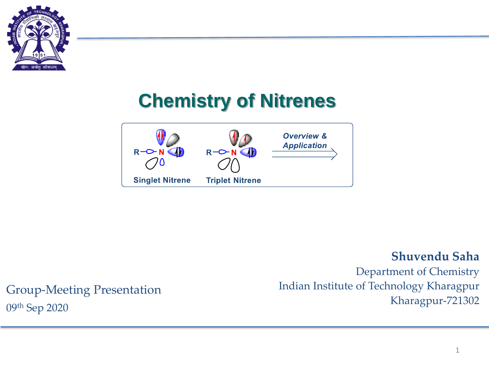

# **Chemistry of Nitrenes**



#### **Shuvendu Saha**

Department of Chemistry Indian Institute of Technology Kharagpur Kharagpur-721302

## Group-Meeting Presentation 09th Sep 2020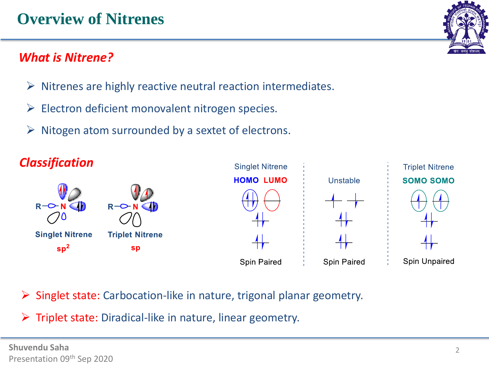# **Overview of Nitrenes**

## *What is Nitrene?*

- $\triangleright$  Nitrenes are highly reactive neutral reaction intermediates.
- $\triangleright$  Electron deficient monovalent nitrogen species.
- $\triangleright$  Nitogen atom surrounded by a sextet of electrons.



Singlet state: Carbocation-like in nature, trigonal planar geometry.

➢ Triplet state: Diradical-like in nature, linear geometry.



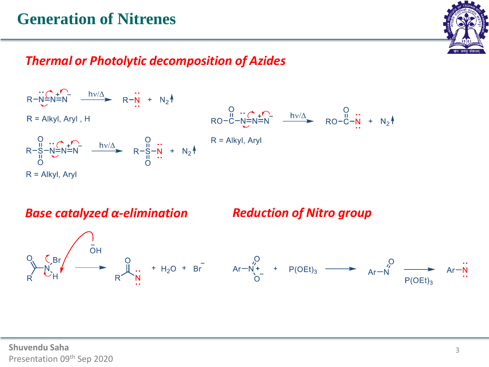## **Generation of Nitrenes**



#### *Thermal or Photolytic decomposition of Azides*



*Base catalyzed α-elimination Reduction of Nitro group*

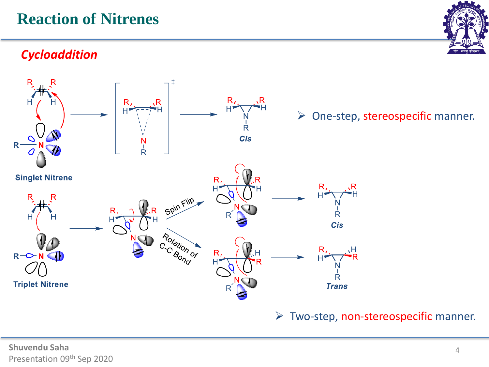# **Reaction of Nitrenes**

## *Cycloaddition*



 $\triangleright$  Two-step, non-stereospecific manner.



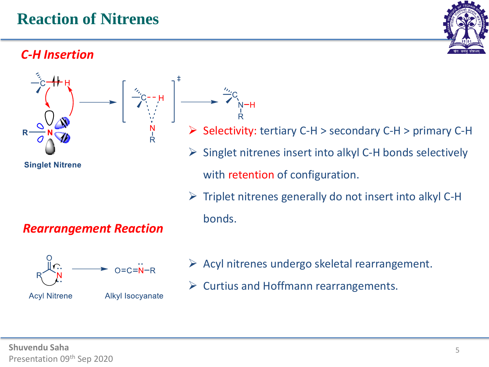## *C-H Insertion*



 $\triangleright$  Triplet nitrenes generally do not insert into alkyl C-H bonds.



Alkyl Isocyanate

#### $\triangleright$  Acyl nitrenes undergo skeletal rearrangement.

➢ Curtius and Hoffmann rearrangements.

*Rearrangement Reaction*



**Acyl Nitrene**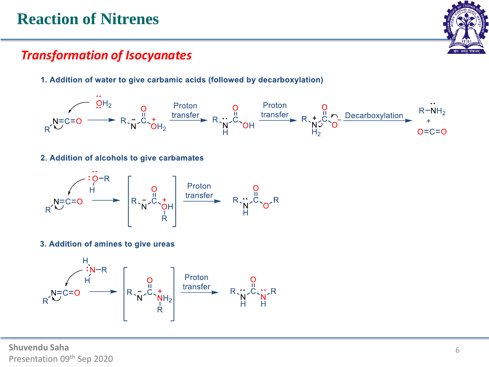# **Reaction of Nitrenes**



#### *Transformation of Isocyanates*

1. Addition of water to give carbamic acids (followed by decarboxylation)



2. Addition of alcohols to give carbamates



3. Addition of amines to give ureas



**Shuvendu Saha** Presentation 09th Sep 2020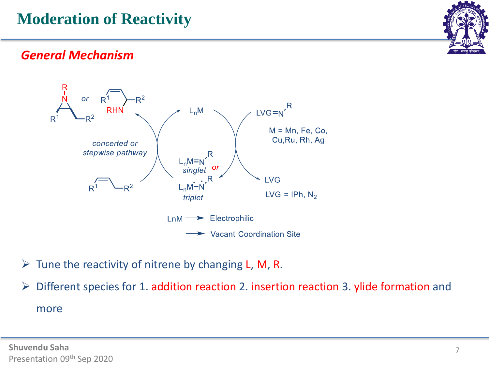

#### *General Mechanism*



 $\triangleright$  Tune the reactivity of nitrene by changing L, M, R.

➢ Different species for 1. addition reaction 2. insertion reaction 3. ylide formation and more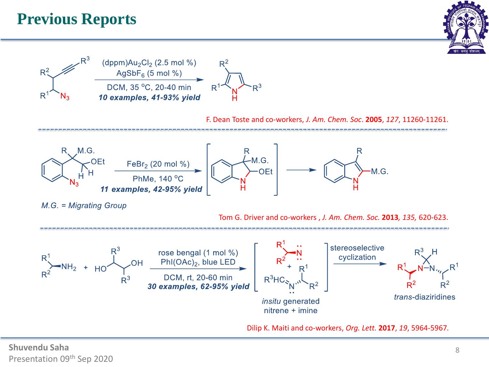# **Previous Reports**





Dilip K. Maiti and co-workers, *Org. Lett.* **2017**, *19*, 5964-5967*.*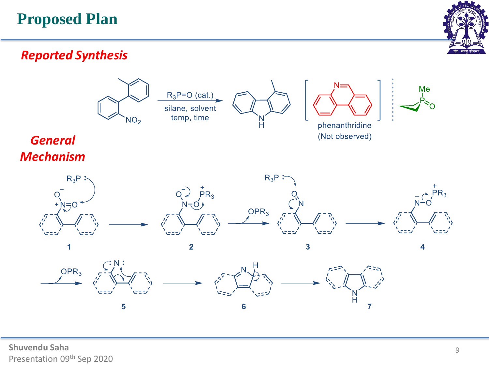# **Proposed Plan**



#### *Reported Synthesis*

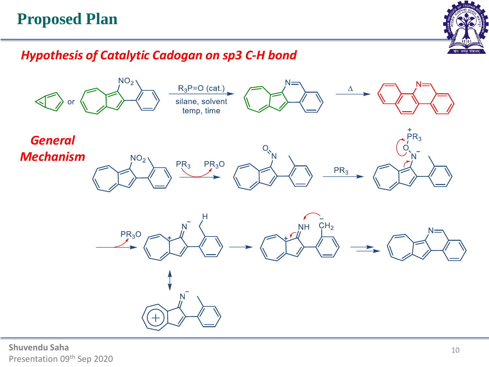# **Proposed Plan**



#### *Hypothesis of Catalytic Cadogan on sp3 C-H bond*



**Shuvendu Saha** Presentation 09th Sep 2020